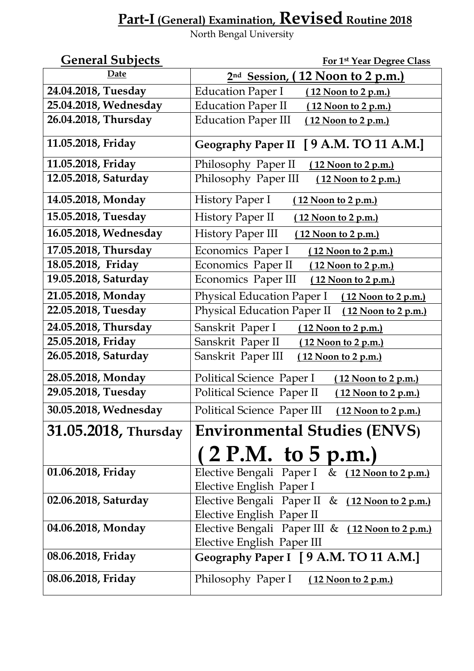## **Part-I(General) Examination, Revised Routine 2018**

North Bengal University

| <b>General Subjects</b> | For 1st Year Degree Class                              |
|-------------------------|--------------------------------------------------------|
| Date                    | <u>12 Noon to 2 p.m.</u><br>2 <sup>nd</sup> Session, ( |
| 24.04.2018, Tuesday     | <b>Education Paper I</b><br>(12 Noon to 2 p.m.)        |
| 25.04.2018, Wednesday   | <b>Education Paper II</b><br>(12 Noon to 2 p.m.)       |
| 26.04.2018, Thursday    | <b>Education Paper III</b><br>12 Noon to 2 p.m.)       |
| 11.05.2018, Friday      | Geography Paper II [ 9 A.M. TO 11 A.M.]                |
| 11.05.2018, Friday      | Philosophy Paper II<br>(12 Noon to 2 p.m.)             |
| 12.05.2018, Saturday    | Philosophy Paper III<br><u>(12 Noon to 2 p.m.)</u>     |
| 14.05.2018, Monday      | <b>History Paper I</b><br><u>(12 Noon to 2 p.m.)</u>   |
| 15.05.2018, Tuesday     | History Paper II<br>(12 Noon to 2 p.m.)                |
| 16.05.2018, Wednesday   | <b>History Paper III</b><br>(12 Noon to 2 p.m.)        |
| 17.05.2018, Thursday    | Economics Paper I<br>(12 Noon to 2 p.m.)               |
| 18.05.2018, Friday      | Economics Paper II<br>(12 Noon to 2 p.m.)              |
| 19.05.2018, Saturday    | Economics Paper III<br>(12 Noon to 2 p.m.)             |
| 21.05.2018, Monday      | Physical Education Paper I (12 Noon to 2 p.m.)         |
| 22.05.2018, Tuesday     | Physical Education Paper II (12 Noon to 2 p.m.)        |
| 24.05.2018, Thursday    | Sanskrit Paper I<br>(12 Noon to 2 p.m.)                |
| 25.05.2018, Friday      | Sanskrit Paper II<br>12 Noon to 2 p.m.)                |
| 26.05.2018, Saturday    | Sanskrit Paper III<br>(12 Noon to 2 p.m.)              |
| 28.05.2018, Monday      | Political Science Paper I<br>(12 Noon to 2 p.m.)       |
| 29.05.2018, Tuesday     | Political Science Paper II<br>(12 Noon to 2 p.m.)      |
| 30.05.2018, Wednesday   | Political Science Paper III (12 Noon to 2 p.m.)        |
| 31.05.2018, Thursday    | <b>Environmental Studies (ENVS)</b>                    |
|                         | (2 P.M. to 5 p.m.)                                     |
| 01.06.2018, Friday      | Elective Bengali Paper I & (12 Noon to 2 p.m.)         |
|                         | Elective English Paper I                               |
| 02.06.2018, Saturday    | Elective Bengali Paper II & (12 Noon to 2 p.m.)        |
|                         | Elective English Paper II                              |
| 04.06.2018, Monday      | Elective Bengali Paper III & (12 Noon to 2 p.m.)       |
|                         | Elective English Paper III                             |
| 08.06.2018, Friday      | Geography Paper I [9 A.M. TO 11 A.M.]                  |
| 08.06.2018, Friday      | Philosophy Paper I<br>(12 Noon to 2 p.m.)              |